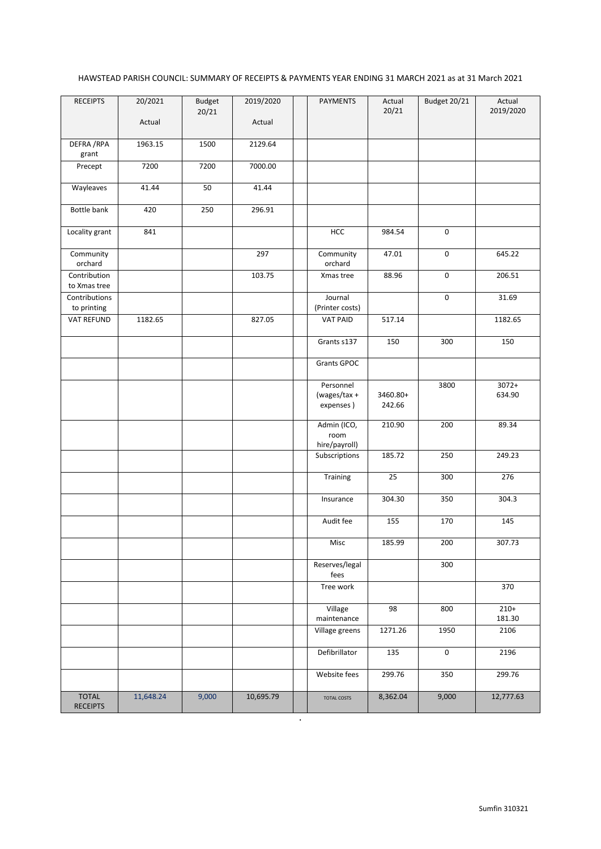## HAWSTEAD PARISH COUNCIL: SUMMARY OF RECEIPTS & PAYMENTS YEAR ENDING 31 MARCH 2021 as at 31 March 2021

| <b>RECEIPTS</b>                 | 20/2021   | Budget<br>20/21 | 2019/2020 | <b>PAYMENTS</b>                | Actual<br>20/21 | Budget 20/21 | Actual<br>2019/2020 |
|---------------------------------|-----------|-----------------|-----------|--------------------------------|-----------------|--------------|---------------------|
|                                 | Actual    |                 | Actual    |                                |                 |              |                     |
| DEFRA / RPA<br>grant            | 1963.15   | 1500            | 2129.64   |                                |                 |              |                     |
| Precept                         | 7200      | 7200            | 7000.00   |                                |                 |              |                     |
| Wayleaves                       | 41.44     | 50              | 41.44     |                                |                 |              |                     |
| Bottle bank                     | 420       | 250             | 296.91    |                                |                 |              |                     |
| Locality grant                  | 841       |                 |           | HCC                            | 984.54          | $\mathsf 0$  |                     |
| Community<br>orchard            |           |                 | 297       | Community<br>orchard           | 47.01           | $\mathsf 0$  | 645.22              |
| Contribution<br>to Xmas tree    |           |                 | 103.75    | Xmas tree                      | 88.96           | $\mathsf 0$  | 206.51              |
| Contributions<br>to printing    |           |                 |           | Journal<br>(Printer costs)     |                 | $\mathsf 0$  | 31.69               |
| VAT REFUND                      | 1182.65   |                 | 827.05    | <b>VAT PAID</b>                | 517.14          |              | 1182.65             |
|                                 |           |                 |           | Grants s137                    | 150             | 300          | 150                 |
|                                 |           |                 |           | <b>Grants GPOC</b>             |                 |              |                     |
|                                 |           |                 |           | Personnel<br>(wages/tax +      | 3460.80+        | 3800         | $3072+$<br>634.90   |
|                                 |           |                 |           | expenses)                      | 242.66          |              |                     |
|                                 |           |                 |           | Admin (ICO,<br>room            | 210.90          | 200          | 89.34               |
|                                 |           |                 |           | hire/payroll)<br>Subscriptions | 185.72          | 250          | 249.23              |
|                                 |           |                 |           |                                |                 |              |                     |
|                                 |           |                 |           | Training                       | 25              | 300          | 276                 |
|                                 |           |                 |           | Insurance                      | 304.30          | 350          | 304.3               |
|                                 |           |                 |           | Audit fee                      | 155             | 170          | 145                 |
|                                 |           |                 |           | Misc                           | 185.99          | 200          | 307.73              |
|                                 |           |                 |           | Reserves/legal<br>fees         |                 | 300          |                     |
|                                 |           |                 |           | Tree work                      |                 |              | 370                 |
|                                 |           |                 |           | Village<br>maintenance         | 98              | 800          | $210+$<br>181.30    |
|                                 |           |                 |           | Village greens                 | 1271.26         | 1950         | 2106                |
|                                 |           |                 |           | Defibrillator                  | 135             | $\pmb{0}$    | 2196                |
|                                 |           |                 |           | Website fees                   | 299.76          | 350          | 299.76              |
| <b>TOTAL</b><br><b>RECEIPTS</b> | 11,648.24 | 9,000           | 10,695.79 | <b>TOTAL COSTS</b><br>$\cdot$  | 8,362.04        | 9,000        | 12,777.63           |